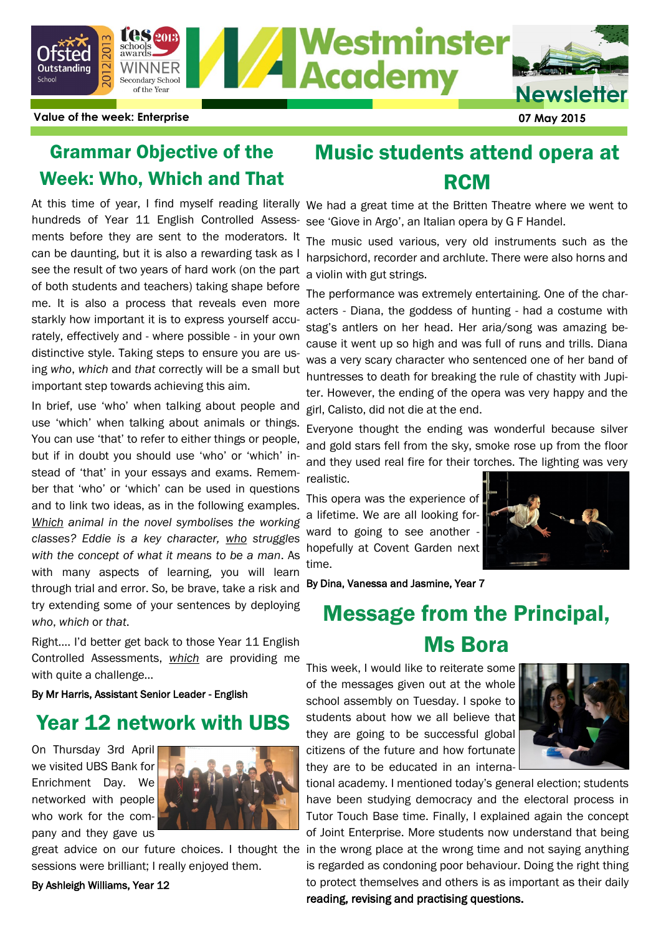

**Value of the week: Enterprise 07 May 2015**

## Grammar Objective of the Week: Who, Which and That

Music students attend opera at **RCM** 

hundreds of Year 11 English Controlled Assessments before they are sent to the moderators. It can be daunting, but it is also a rewarding task as I see the result of two years of hard work (on the part of both students and teachers) taking shape before me. It is also a process that reveals even more starkly how important it is to express yourself accurately, effectively and - where possible - in your own distinctive style. Taking steps to ensure you are using *who*, *which* and *that* correctly will be a small but important step towards achieving this aim.

In brief, use 'who' when talking about people and use 'which' when talking about animals or things. You can use 'that' to refer to either things or people, but if in doubt you should use 'who' or 'which' instead of 'that' in your essays and exams. Remember that 'who' or 'which' can be used in questions and to link two ideas, as in the following examples. *Which animal in the novel symbolises the working classes? Eddie is a key character, who struggles with the concept of what it means to be a man*. As with many aspects of learning, you will learn through trial and error. So, be brave, take a risk and try extending some of your sentences by deploying *who*, *which* or *that*.

Right…. I'd better get back to those Year 11 English Controlled Assessments, *which* are providing me with quite a challenge...

By Mr Harris, Assistant Senior Leader - English

### Year 12 network with UBS

On Thursday 3rd April we visited UBS Bank for Enrichment Day. We networked with people who work for the company and they gave us



great advice on our future choices. I thought the sessions were brilliant; I really enjoyed them.

#### By Ashleigh Williams, Year 12

At this time of year, I find myself reading literally We had a great time at the Britten Theatre where we went to see 'Giove in Argo', an Italian opera by G F Handel.

> The music used various, very old instruments such as the harpsichord, recorder and archlute. There were also horns and a violin with gut strings.

> The performance was extremely entertaining. One of the characters - Diana, the goddess of hunting - had a costume with stag's antlers on her head. Her aria/song was amazing because it went up so high and was full of runs and trills. Diana was a very scary character who sentenced one of her band of huntresses to death for breaking the rule of chastity with Jupiter. However, the ending of the opera was very happy and the girl, Calisto, did not die at the end.

> Everyone thought the ending was wonderful because silver and gold stars fell from the sky, smoke rose up from the floor and they used real fire for their torches. The lighting was very

This opera was the experience of a lifetime. We are all looking forward to going to see another hopefully at Covent Garden next time.

realistic.



By Dina, Vanessa and Jasmine, Year 7

# Message from the Principal, Ms Bora

This week, I would like to reiterate some of the messages given out at the whole school assembly on Tuesday. I spoke to students about how we all believe that they are going to be successful global citizens of the future and how fortunate they are to be educated in an interna-



tional academy. I mentioned today's general election; students have been studying democracy and the electoral process in Tutor Touch Base time. Finally, I explained again the concept of Joint Enterprise. More students now understand that being in the wrong place at the wrong time and not saying anything is regarded as condoning poor behaviour. Doing the right thing to protect themselves and others is as important as their daily reading, revising and practising questions.